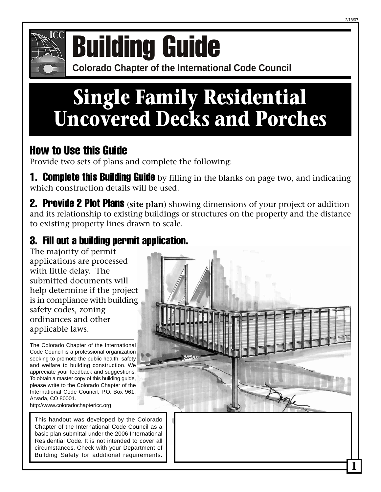



# **COMPONICE COLORATION CONFERENCE OF BUILDING GUIDE**

## **Single Family Residential Uncovered Decks and Porches**

### How to Use this Guide

Provide two sets of plans and complete the following:

**1. Complete this Building Guide** by filling in the blanks on page two, and indicating which construction details will be used.

2. Provide 2 Plot Plans (**site plan**) showing dimensions of your project or addition and its relationship to existing buildings or structures on the property and the distance to existing property lines drawn to scale.

### 3. Fill out a building permit application.

The majority of permit applications are processed with little delay. The submitted documents will help determine if the project is in compliance with building safety codes, zoning ordinances and other applicable laws.

The Colorado Chapter of the International Code Council is a professional organization seeking to promote the public health, safety and welfare to building construction. We appreciate your feedback and suggestions. To obtain a master copy of this building guide, please write to the Colorado Chapter of the International Code Council, P.O. Box 961, Arvada, CO 80001. http://www.coloradochaptericc.org

This handout was developed by the Colorado Chapter of the International Code Council as a basic plan submittal under the 2006 International Residential Code. It is not intended to cover all circumstances. Check with your Department of Building Safety for additional requirements.

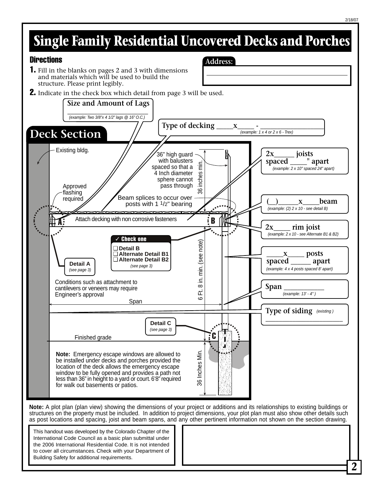## **Single Family Residential Uncovered Decks and Porches**

**Address:**

#### **Directions**

- 1. Fill in the blanks on pages 2 and 3 with dimensions and materials which will be used to build the structure. Please print legibly.
- **2.** Indicate in the check box which detail from page 3 will be used.



structures on the property must be included. In addition to project dimensions, your plot plan must also show other details such as post locations and spacing, joist and beam spans, and any other pertinent information not shown on the section drawing.

This handout was developed by the Colorado Chapter of the International Code Council as a basic plan submittal under the 2006 International Residential Code. It is not intended to cover all circumstances. Check with your Department of Building Safety for additional requirements.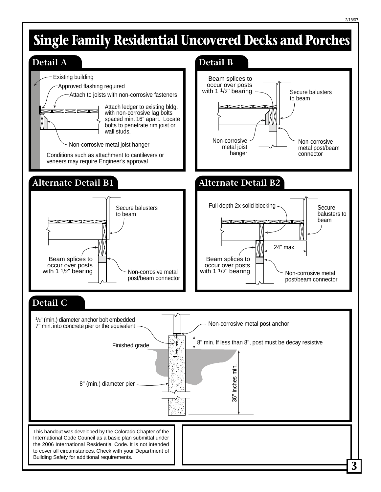## **Single Family Residential Uncovered Decks and Porches**